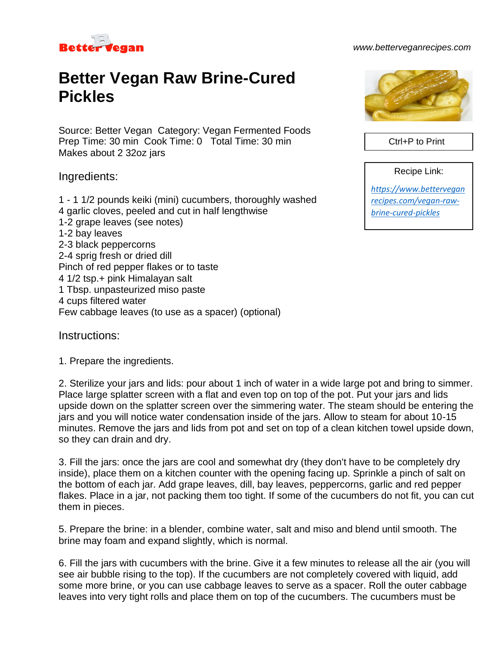

#### *www.betterveganrecipes.com*

# **Better Vegan Raw Brine-Cured Pickles**

Source: Better Vegan Category: Vegan Fermented Foods Prep Time: 30 min Cook Time: 0 Total Time: 30 min Makes about 2 32oz jars

### Ingredients:

1 - 1 1/2 pounds keiki (mini) cucumbers, thoroughly washed 4 garlic cloves, peeled and cut in half lengthwise 1-2 grape leaves (see notes) 1-2 bay leaves 2-3 black peppercorns 2-4 sprig fresh or dried dill Pinch of red pepper flakes or to taste 4 1/2 tsp.+ pink Himalayan salt 1 Tbsp. unpasteurized miso paste 4 cups filtered water Few cabbage leaves (to use as a spacer) (optional)

#### Instructions:

1. Prepare the ingredients.

2. Sterilize your jars and lids: pour about 1 inch of water in a wide large pot and bring to simmer. Place large splatter screen with a flat and even top on top of the pot. Put your jars and lids upside down on the splatter screen over the simmering water. The steam should be entering the jars and you will notice water condensation inside of the jars. Allow to steam for about 10-15 minutes. Remove the jars and lids from pot and set on top of a clean kitchen towel upside down, so they can drain and dry.

3. Fill the jars: once the jars are cool and somewhat dry (they don't have to be completely dry inside), place them on a kitchen counter with the opening facing up. Sprinkle a pinch of salt on the bottom of each jar. Add grape leaves, dill, bay leaves, peppercorns, garlic and red pepper flakes. Place in a jar, not packing them too tight. If some of the cucumbers do not fit, you can cut them in pieces.

5. Prepare the brine: in a blender, combine water, salt and miso and blend until smooth. The brine may foam and expand slightly, which is normal.

6. Fill the jars with cucumbers with the brine. Give it a few minutes to release all the air (you will see air bubble rising to the top). If the cucumbers are not completely covered with liquid, add some more brine, or you can use cabbage leaves to serve as a spacer. Roll the outer cabbage leaves into very tight rolls and place them on top of the cucumbers. The cucumbers must be



Ctrl+P to Print

Recipe Link:

*[https://www.bettervegan](https://www.betterveganrecipes.com/vegan-raw-brine-cured-pickles) [recipes.com/vegan-raw](https://www.betterveganrecipes.com/vegan-raw-brine-cured-pickles)[brine-cured-pickles](https://www.betterveganrecipes.com/vegan-raw-brine-cured-pickles)*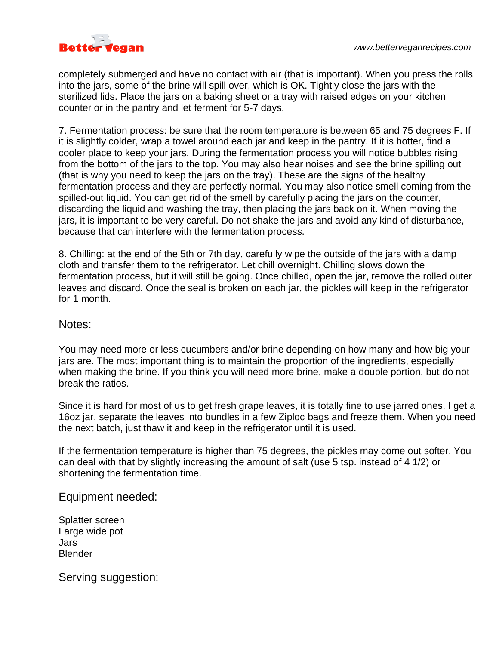

completely submerged and have no contact with air (that is important). When you press the rolls into the jars, some of the brine will spill over, which is OK. Tightly close the jars with the sterilized lids. Place the jars on a baking sheet or a tray with raised edges on your kitchen counter or in the pantry and let ferment for 5-7 days.

7. Fermentation process: be sure that the room temperature is between 65 and 75 degrees F. If it is slightly colder, wrap a towel around each jar and keep in the pantry. If it is hotter, find a cooler place to keep your jars. During the fermentation process you will notice bubbles rising from the bottom of the jars to the top. You may also hear noises and see the brine spilling out (that is why you need to keep the jars on the tray). These are the signs of the healthy fermentation process and they are perfectly normal. You may also notice smell coming from the spilled-out liquid. You can get rid of the smell by carefully placing the jars on the counter, discarding the liquid and washing the tray, then placing the jars back on it. When moving the jars, it is important to be very careful. Do not shake the jars and avoid any kind of disturbance, because that can interfere with the fermentation process.

8. Chilling: at the end of the 5th or 7th day, carefully wipe the outside of the jars with a damp cloth and transfer them to the refrigerator. Let chill overnight. Chilling slows down the fermentation process, but it will still be going. Once chilled, open the jar, remove the rolled outer leaves and discard. Once the seal is broken on each jar, the pickles will keep in the refrigerator for 1 month.

## Notes:

You may need more or less cucumbers and/or brine depending on how many and how big your jars are. The most important thing is to maintain the proportion of the ingredients, especially when making the brine. If you think you will need more brine, make a double portion, but do not break the ratios.

Since it is hard for most of us to get fresh grape leaves, it is totally fine to use jarred ones. I get a 16oz jar, separate the leaves into bundles in a few Ziploc bags and freeze them. When you need the next batch, just thaw it and keep in the refrigerator until it is used.

If the fermentation temperature is higher than 75 degrees, the pickles may come out softer. You can deal with that by slightly increasing the amount of salt (use 5 tsp. instead of 4 1/2) or shortening the fermentation time.

Equipment needed:

Splatter screen Large wide pot Jars **Blender** 

Serving suggestion: